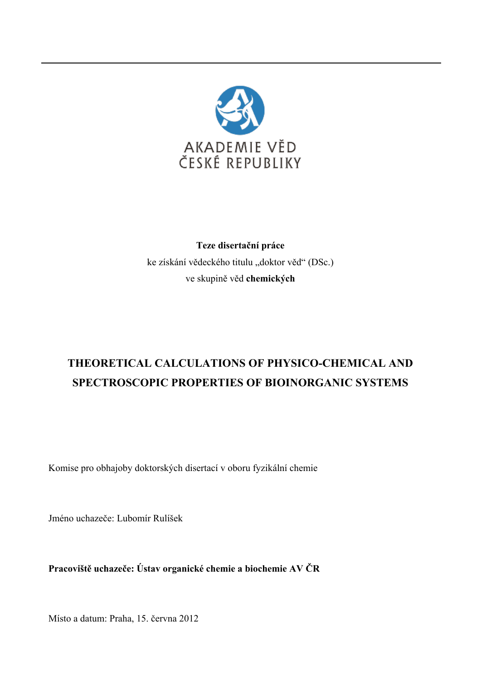

## **Teze disertační práce**  ke získání vědeckého titulu "doktor věd" (DSc.) ve skupině věd **chemických**

# **THEORETICAL CALCULATIONS OF PHYSICO-CHEMICAL AND SPECTROSCOPIC PROPERTIES OF BIOINORGANIC SYSTEMS**

Komise pro obhajoby doktorských disertací v oboru fyzikální chemie

Jméno uchazeče: Lubomír Rulíšek

**Pracoviště uchazeče: Ústav organické chemie a biochemie AV ČR** 

Místo a datum: Praha, 15. června 2012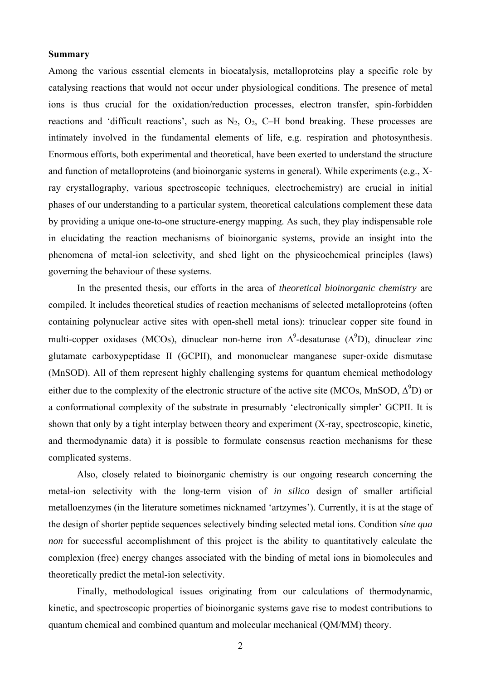#### **Summary**

Among the various essential elements in biocatalysis, metalloproteins play a specific role by catalysing reactions that would not occur under physiological conditions. The presence of metal ions is thus crucial for the oxidation/reduction processes, electron transfer, spin-forbidden reactions and 'difficult reactions', such as  $N_2$ ,  $O_2$ ,  $C-H$  bond breaking. These processes are intimately involved in the fundamental elements of life, e.g. respiration and photosynthesis. Enormous efforts, both experimental and theoretical, have been exerted to understand the structure and function of metalloproteins (and bioinorganic systems in general). While experiments (e.g., Xray crystallography, various spectroscopic techniques, electrochemistry) are crucial in initial phases of our understanding to a particular system, theoretical calculations complement these data by providing a unique one-to-one structure-energy mapping. As such, they play indispensable role in elucidating the reaction mechanisms of bioinorganic systems, provide an insight into the phenomena of metal-ion selectivity, and shed light on the physicochemical principles (laws) governing the behaviour of these systems.

In the presented thesis, our efforts in the area of *theoretical bioinorganic chemistry* are compiled. It includes theoretical studies of reaction mechanisms of selected metalloproteins (often containing polynuclear active sites with open-shell metal ions): trinuclear copper site found in multi-copper oxidases (MCOs), dinuclear non-heme iron  $\Delta^9$ -desaturase ( $\Delta^9D$ ), dinuclear zinc glutamate carboxypeptidase II (GCPII), and mononuclear manganese super-oxide dismutase (MnSOD). All of them represent highly challenging systems for quantum chemical methodology either due to the complexity of the electronic structure of the active site (MCOs, MnSOD,  $\Delta^9$ D) or a conformational complexity of the substrate in presumably 'electronically simpler' GCPII. It is shown that only by a tight interplay between theory and experiment (X-ray, spectroscopic, kinetic, and thermodynamic data) it is possible to formulate consensus reaction mechanisms for these complicated systems.

Also, closely related to bioinorganic chemistry is our ongoing research concerning the metal-ion selectivity with the long-term vision of *in silico* design of smaller artificial metalloenzymes (in the literature sometimes nicknamed 'artzymes'). Currently, it is at the stage of the design of shorter peptide sequences selectively binding selected metal ions. Condition *sine qua non* for successful accomplishment of this project is the ability to quantitatively calculate the complexion (free) energy changes associated with the binding of metal ions in biomolecules and theoretically predict the metal-ion selectivity.

Finally, methodological issues originating from our calculations of thermodynamic, kinetic, and spectroscopic properties of bioinorganic systems gave rise to modest contributions to quantum chemical and combined quantum and molecular mechanical (QM/MM) theory.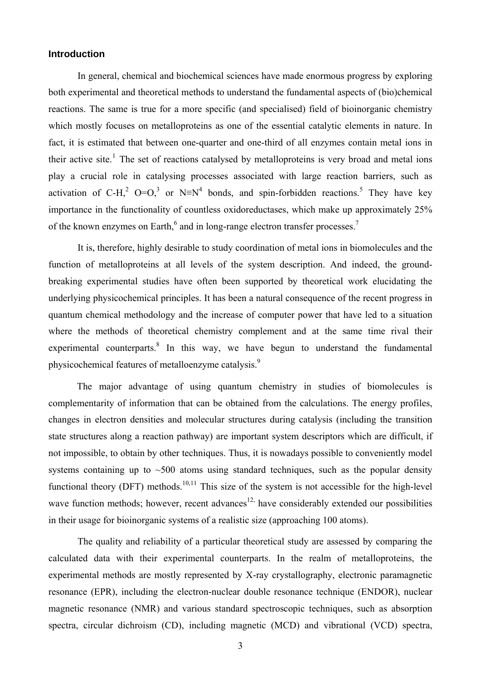#### **Introduction**

In general, chemical and biochemical sciences have made enormous progress by exploring both experimental and theoretical methods to understand the fundamental aspects of (bio)chemical reactions. The same is true for a more specific (and specialised) field of bioinorganic chemistry which mostly focuses on metalloproteins as one of the essential catalytic elements in nature. In fact, it is estimated that between one-quarter and one-third of all enzymes contain metal ions in their active site.<sup>[1](#page-14-0)</sup> The set of reactions catalysed by metalloproteins is very broad and metal ions play a crucial role in catalysing processes associated with large reaction barriers, such as activation of C-H,<sup>2</sup> O=O,<sup>3</sup> or N≡N<sup>4</sup> bonds, and spin-forbidden reactions.<sup>5</sup> They have key importance in the functionality of countless oxidoreductases, which make up approximately 25% of the known enzymes on Earth, $<sup>6</sup>$  and in long-range electron transfer processes.<sup>7</sup></sup>

It is, therefore, highly desirable to study coordination of metal ions in biomolecules and the function of metalloproteins at all levels of the system description. And indeed, the groundbreaking experimental studies have often been supported by theoretical work elucidating the underlying physicochemical principles. It has been a natural consequence of the recent progress in quantum chemical methodology and the increase of computer power that have led to a situation where the methods of theoretical chemistry complement and at the same time rival their experimental counterparts. $8$  In this way, we have begun to understand the fundamental physicochemical features of metalloenzyme catalysis.9

 The major advantage of using quantum chemistry in studies of biomolecules is complementarity of information that can be obtained from the calculations. The energy profiles, changes in electron densities and molecular structures during catalysis (including the transition state structures along a reaction pathway) are important system descriptors which are difficult, if not impossible, to obtain by other techniques. Thus, it is nowadays possible to conveniently model systems containing up to  $\sim$  500 atoms using standard techniques, such as the popular density functional theory (DFT) methods.<sup>10,11</sup> This size of the system is not accessible for the high-level wave function methods; however, recent advances<sup>12,</sup> have considerably extended our possibilities in their usage for bioinorganic systems of a realistic size (approaching 100 atoms).

<span id="page-2-0"></span>The quality and reliability of a particular theoretical study are assessed by comparing the calculated data with their experimental counterparts. In the realm of metalloproteins, the experimental methods are mostly represented by X-ray crystallography, electronic paramagnetic resonance (EPR), including the electron-nuclear double resonance technique (ENDOR), nuclear magnetic resonance (NMR) and various standard spectroscopic techniques, such as absorption spectra, circular dichroism (CD), including magnetic (MCD) and vibrational (VCD) spectra,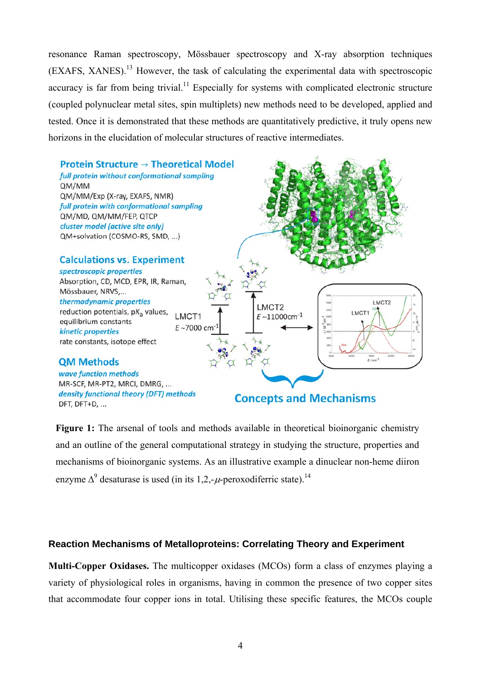resonance Raman spectroscopy, Mössbauer spectroscopy and X-ray absorption techniques (EXAFS, XANES).13 However, the task of calculating the experimental data with spectroscopic accuracy is far from being trivial.<sup>11</sup> Especially for systems with complicated electronic structure (coupled polynuclear metal sites, spin multiplets) new methods need to be developed, applied and tested. Once it is demonstrated that these methods are quantitatively predictive, it truly opens new horizons in the elucidation of molecular structures of reactive intermediates.



Figure 1: The arsenal of tools and methods available in theoretical bioinorganic chemistry and an outline of the general computational strategy in studying the structure, properties and mechanisms of bioinorganic systems. As an illustrative example a dinuclear non-heme diiron enzyme  $\Delta^9$  desaturase is used (in its 1,2,- $\mu$ -peroxodiferric state).<sup>14</sup>

### <span id="page-3-0"></span>**Reaction Mechanisms of Metalloproteins: Correlating Theory and Experiment**

**Multi-Copper Oxidases.** The multicopper oxidases (MCOs) form a class of enzymes playing a variety of physiological roles in organisms, having in common the presence of two copper sites that accommodate four copper ions in total. Utilising these specific features, the MCOs couple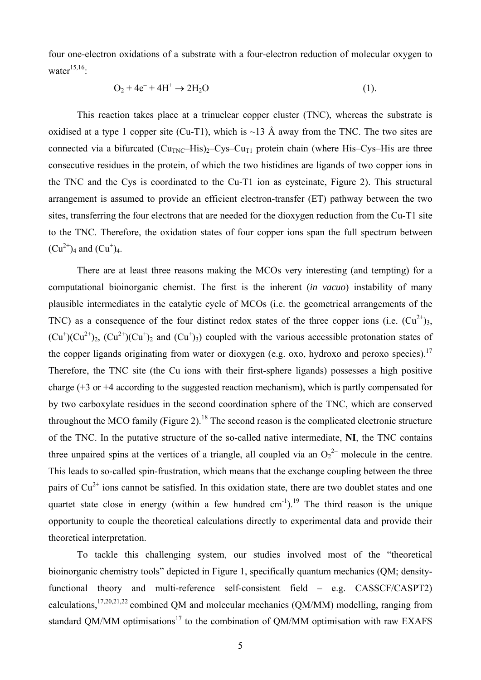four one-electron oxidations of a substrate with a four-electron reduction of molecular oxygen to water $15,16$ .

$$
O_2 + 4e^- + 4H^+ \rightarrow 2H_2O \tag{1}
$$

This reaction takes place at a trinuclear copper cluster (TNC), whereas the substrate is oxidised at a type 1 copper site (Cu-T1), which is  $\sim$ 13 Å away from the TNC. The two sites are connected via a bifurcated  $(Cu_{TNC} - His)_{2} - Cys-Cu_{T1}$  protein chain (where His–Cys–His are three consecutive residues in the protein, of which the two histidines are ligands of two copper ions in the TNC and the Cys is coordinated to the Cu-T1 ion as cysteinate, Figure 2). This structural arrangement is assumed to provide an efficient electron-transfer (ET) pathway between the two sites, transferring the four electrons that are needed for the dioxygen reduction from the Cu-T1 site to the TNC. Therefore, the oxidation states of four copper ions span the full spectrum between  $(Cu^{2+})_4$  and  $(Cu^{+})_4$ .

<span id="page-4-0"></span>There are at least three reasons making the MCOs very interesting (and tempting) for a computational bioinorganic chemist. The first is the inherent (*in vacuo*) instability of many plausible intermediates in the catalytic cycle of MCOs (i.e. the geometrical arrangements of the TNC) as a consequence of the four distinct redox states of the three copper ions (i.e.  $(Cu^{2+})_3$ ,  $(Cu^+)(Cu^{2+})_2$ ,  $(Cu^{2+})(Cu^{+})_2$  and  $(Cu^+)_3$ ) coupled with the various accessible protonation states of the copper ligands originating from water or dioxygen (e.g. oxo, hydroxo and peroxo species).<sup>17</sup> Therefore, the TNC site (the Cu ions with their first-sphere ligands) possesses a high positive charge (+3 or +4 according to the suggested reaction mechanism), which is partly compensated for by two carboxylate residues in the second coordination sphere of the TNC, which are conserved throughout the MCO family (Figure 2).<sup>18</sup> The second reason is the complicated electronic structure of the TNC. In the putative structure of the so-called native intermediate, **NI**, the TNC contains three unpaired spins at the vertices of a triangle, all coupled via an  $O_2^2$  molecule in the centre. This leads to so-called spin-frustration, which means that the exchange coupling between the three pairs of  $Cu^{2+}$  ions cannot be satisfied. In this oxidation state, there are two doublet states and one quartet state close in energy (within a few hundred  $cm^{-1}$ ).<sup>19</sup> The third reason is the unique opportunity to couple the theoretical calculations directly to experimental data and provide their theoretical interpretation.

To tackle this challenging system, our studies involved most of the "theoretical bioinorganic chemistry tools" depicted in Figure 1, specifically quantum mechanics (QM; densityfunctional theory and multi-reference self-consistent field – e.g. CASSCF/CASPT2) calculations,  $17,20,21,22$  combined QM and molecular mechanics (QM/MM) modelling, ranging from standard QM/MM optimisations<sup>17</sup> to the combination of QM/MM optimisation with raw EXAFS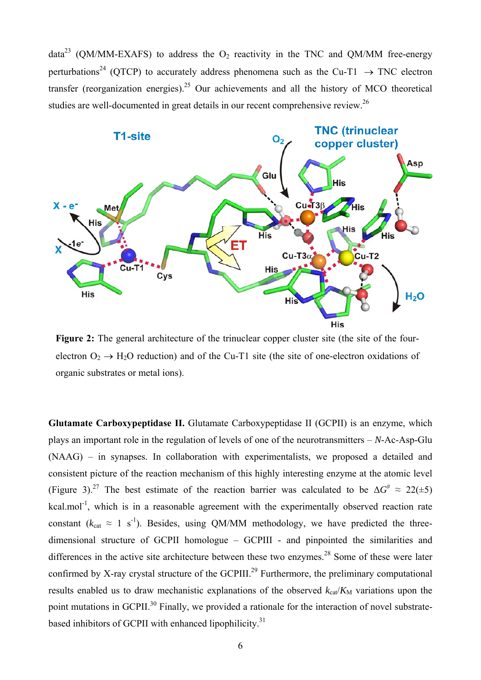<span id="page-5-0"></span>data<sup>23</sup> (QM/MM-EXAFS) to address the  $O_2$  reactivity in the TNC and QM/MM free-energy perturbations<sup>24</sup> (QTCP) to accurately address phenomena such as the Cu-T1  $\rightarrow$  TNC electron transfer (reorganization energies).<sup>25</sup> Our achievements and all the history of MCO theoretical studies are well-documented in great details in our recent comprehensive review.<sup>26</sup>



Figure 2: The general architecture of the trinuclear copper cluster site (the site of the fourelectron  $O_2 \rightarrow H_2O$  reduction) and of the Cu-T1 site (the site of one-electron oxidations of organic substrates or metal ions).

**Glutamate Carboxypeptidase II.** Glutamate Carboxypeptidase II (GCPII) is an enzyme, which plays an important role in the regulation of levels of one of the neurotransmitters – *N*-Ac-Asp-Glu (NAAG) – in synapses. In collaboration with experimentalists, we proposed a detailed and consistent picture of the reaction mechanism of this highly interesting enzyme at the atomic level (Figure 3).<sup>27</sup> The best estimate of the reaction barrier was calculated to be  $\Delta G^* \approx 22(\pm 5)$ kcal.mol<sup>-1</sup>, which is in a reasonable agreement with the experimentally observed reaction rate constant ( $k_{cat} \approx 1 \text{ s}^{-1}$ ). Besides, using QM/MM methodology, we have predicted the threedimensional structure of GCPII homologue – GCPIII - and pinpointed the similarities and differences in the active site architecture between these two enzymes.<sup>28</sup> Some of these were later confirmed by X-ray crystal structure of the GCPIII.<sup>29</sup> Furthermore, the preliminary computational results enabled us to draw mechanistic explanations of the observed  $k_{\text{cat}}/K_M$  variations upon the point mutations in GCPII.<sup>30</sup> Finally, we provided a rationale for the interaction of novel substratebased inhibitors of GCPII with enhanced lipophilicity.<sup>31</sup>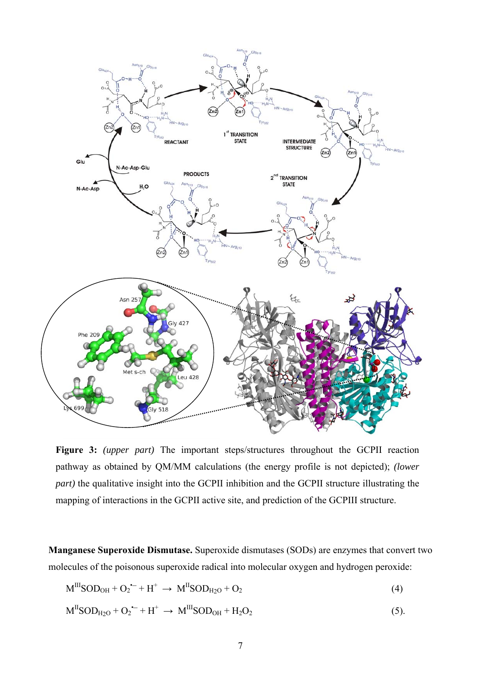

**Figure 3:** *(upper part)* The important steps/structures throughout the GCPII reaction pathway as obtained by QM/MM calculations (the energy profile is not depicted); *(lower part*) the qualitative insight into the GCPII inhibition and the GCPII structure illustrating the mapping of interactions in the GCPII active site, and prediction of the GCPIII structure.

**Manganese Superoxide Dismutase.** Superoxide dismutases (SODs) are enzymes that convert two molecules of the poisonous superoxide radical into molecular oxygen and hydrogen peroxide:

$$
M^{III}SOD_{OH} + O_2^{\bullet -} + H^+ \rightarrow M^{II}SOD_{H2O} + O_2
$$
\n
$$
\tag{4}
$$

$$
M^{\text{II}}SOD_{\text{H2O}} + O_2^{\bullet -} + H^+ \rightarrow M^{\text{III}}SOD_{\text{OH}} + H_2O_2 \tag{5}
$$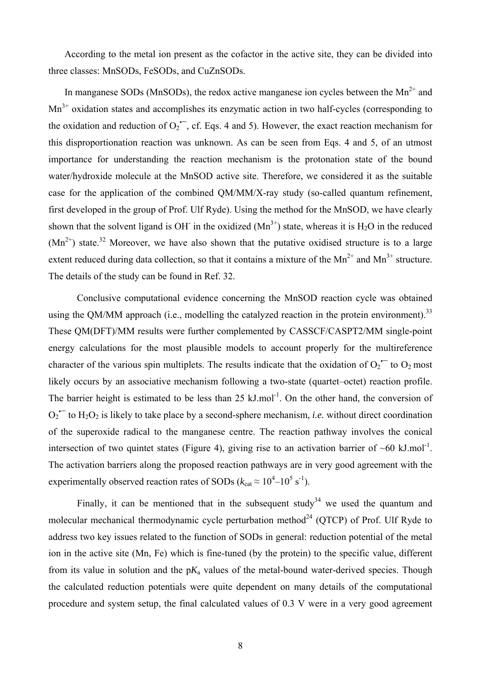According to the metal ion present as the cofactor in the active site, they can be divided into three classes: MnSODs, FeSODs, and CuZnSODs.

In manganese SODs (MnSODs), the redox active manganese ion cycles between the  $Mn^{2+}$  and Mn<sup>3+</sup> oxidation states and accomplishes its enzymatic action in two half-cycles (corresponding to the oxidation and reduction of  $O_2$ <sup>--</sup>, cf. Eqs. 4 and 5). However, the exact reaction mechanism for this disproportionation reaction was unknown. As can be seen from Eqs. 4 and 5, of an utmost importance for understanding the reaction mechanism is the protonation state of the bound water/hydroxide molecule at the MnSOD active site. Therefore, we considered it as the suitable case for the application of the combined QM/MM/X-ray study (so-called quantum refinement, first developed in the group of Prof. Ulf Ryde). Using the method for the MnSOD, we have clearly shown that the solvent ligand is OH in the oxidized  $(Mn^{3+})$  state, whereas it is H<sub>2</sub>O in the reduced  $(Mn^{2+})$  state.<sup>32</sup> Moreover, we have also shown that the putative oxidised structure is to a large extent reduced during data collection, so that it contains a mixture of the  $Mn^{2+}$  and  $Mn^{3+}$  structure. The details of the study can be found in Ref. [32](#page-7-0).

<span id="page-7-0"></span>Conclusive computational evidence concerning the MnSOD reaction cycle was obtained using the QM/MM approach (i.e., modelling the catalyzed reaction in the protein environment).<sup>33</sup> These QM(DFT)/MM results were further complemented by CASSCF/CASPT2/MM single-point energy calculations for the most plausible models to account properly for the multireference character of the various spin multiplets. The results indicate that the oxidation of  $O_2$ <sup>-</sup> to  $O_2$  most likely occurs by an associative mechanism following a two-state (quartet–octet) reaction profile. The barrier height is estimated to be less than  $25 \text{ kJ}$ .mol<sup>-1</sup>. On the other hand, the conversion of  $O_2$ <sup> $\sim$ </sup> to H<sub>2</sub>O<sub>2</sub> is likely to take place by a second-sphere mechanism, *i.e.* without direct coordination of the superoxide radical to the manganese centre. The reaction pathway involves the conical intersection of two quintet states (Figure 4), giving rise to an activation barrier of  $~60 \text{ kJ/mol}^{-1}$ . The activation barriers along the proposed reaction pathways are in very good agreement with the experimentally observed reaction rates of SODs ( $k_{cat} \approx 10^4 - 10^5$  s<sup>-1</sup>).

<span id="page-7-1"></span>Finally, it can be mentioned that in the subsequent study<sup>34</sup> we used the quantum and molecular mechanical thermodynamic cycle perturbation method<sup>24</sup> (OTCP) of Prof. Ulf Ryde to address two key issues related to the function of SODs in general: reduction potential of the metal ion in the active site (Mn, Fe) which is fine-tuned (by the protein) to the specific value, different from its value in solution and the  $pK_a$  values of the metal-bound water-derived species. Though the calculated reduction potentials were quite dependent on many details of the computational procedure and system setup, the final calculated values of 0.3 V were in a very good agreement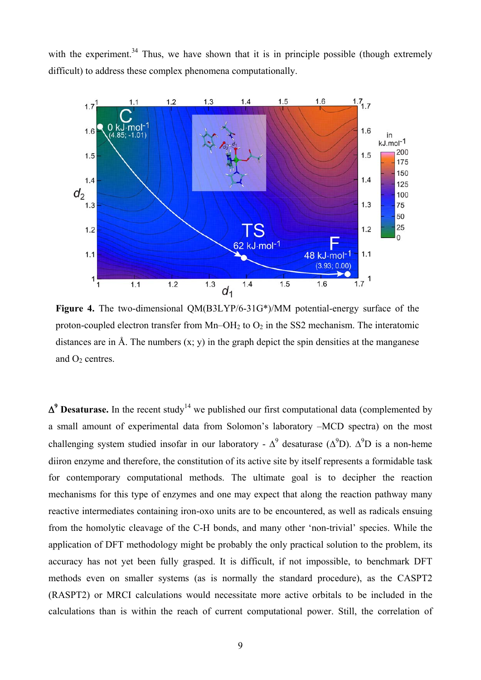with the experiment.<sup>34</sup> Thus, we have shown that it is in principle possible (though extremely difficult) to address these complex phenomena computationally.



**Figure 4.** The two-dimensional QM(B3LYP/6-31G\*)/MM potential-energy surface of the proton-coupled electron transfer from  $Mn-OH<sub>2</sub>$  to  $O<sub>2</sub>$  in the SS2 mechanism. The interatomic distances are in Å. The numbers  $(x, y)$  in the graph depict the spin densities at the manganese and  $O<sub>2</sub>$  centres.

 $\Delta^9$  **Desaturase.** In the recent study<sup>14</sup> we published our first computational data (complemented by a small amount of experimental data from Solomon's laboratory –MCD spectra) on the most challenging system studied insofar in our laboratory -  $\Delta^9$  desaturase ( $\Delta^9$ D).  $\Delta^9$ D is a non-heme diiron enzyme and therefore, the constitution of its active site by itself represents a formidable task for contemporary computational methods. The ultimate goal is to decipher the reaction mechanisms for this type of enzymes and one may expect that along the reaction pathway many reactive intermediates containing iron-oxo units are to be encountered, as well as radicals ensuing from the homolytic cleavage of the C-H bonds, and many other 'non-trivial' species. While the application of DFT methodology might be probably the only practical solution to the problem, its accuracy has not yet been fully grasped. It is difficult, if not impossible, to benchmark DFT methods even on smaller systems (as is normally the standard procedure), as the CASPT2 (RASPT2) or MRCI calculations would necessitate more active orbitals to be included in the calculations than is within the reach of current computational power. Still, the correlation of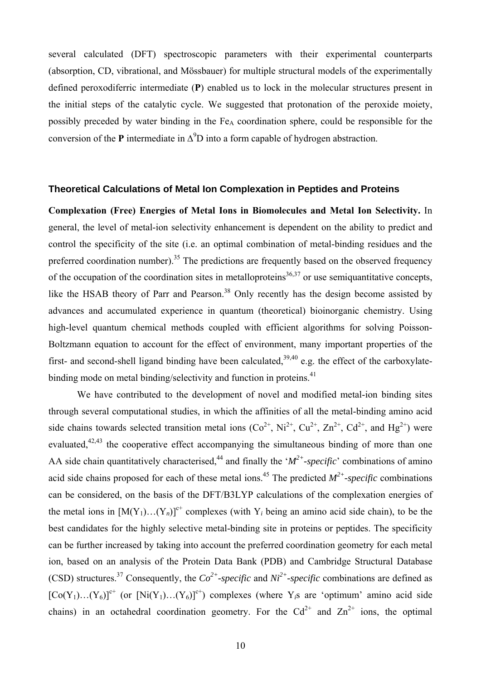several calculated (DFT) spectroscopic parameters with their experimental counterparts (absorption, CD, vibrational, and Mössbauer) for multiple structural models of the experimentally defined peroxodiferric intermediate (**P**) enabled us to lock in the molecular structures present in the initial steps of the catalytic cycle. We suggested that protonation of the peroxide moiety, possibly preceded by water binding in the Fe<sub>A</sub> coordination sphere, could be responsible for the conversion of the **P** intermediate in  $\Delta^9$ D into a form capable of hydrogen abstraction.

#### **Theoretical Calculations of Metal Ion Complexation in Peptides and Proteins**

<span id="page-9-0"></span>**Complexation (Free) Energies of Metal Ions in Biomolecules and Metal Ion Selectivity.** In general, the level of metal-ion selectivity enhancement is dependent on the ability to predict and control the specificity of the site (i.e. an optimal combination of metal-binding residues and the preferred coordination number).<sup>35</sup> The predictions are frequently based on the observed frequency of the occupation of the coordination sites in metalloproteins<sup>36,37</sup> or use semiquantitative concepts, like the HSAB theory of Parr and Pearson.<sup>38</sup> Only recently has the design become assisted by advances and accumulated experience in quantum (theoretical) bioinorganic chemistry. Using high-level quantum chemical methods coupled with efficient algorithms for solving Poisson-Boltzmann equation to account for the effect of environment, many important properties of the first- and second-shell ligand binding have been calculated,  $39,40$  e.g. the effect of the carboxylatebinding mode on metal binding/selectivity and function in proteins.<sup>41</sup>

<span id="page-9-2"></span><span id="page-9-1"></span>We have contributed to the development of novel and modified metal-ion binding sites through several computational studies, in which the affinities of all the metal-binding amino acid side chains towards selected transition metal ions  $(Co^{2+}, Ni^{2+}, Cu^{2+}, Zn^{2+}, Cd^{2+}, and Hg^{2+})$  were evaluated,<sup>42,43</sup> the cooperative effect accompanying the simultaneous binding of more than one AA side chain quantitatively characterised,<sup>44</sup> and finally the ' $M^{2+}$ -specific' combinations of amino acid side chains proposed for each of these metal ions.<sup>45</sup> The predicted  $M^{2+}$ -specific combinations can be considered, on the basis of the DFT/B3LYP calculations of the complexation energies of the metal ions in  $[M(Y_1)...(Y_n)]^{c^+}$  complexes (with Y<sub>i</sub> being an amino acid side chain), to be the best candidates for the highly selective metal-binding site in proteins or peptides. The specificity can be further increased by taking into account the preferred coordination geometry for each metal ion, based on an analysis of the Protein Data Bank (PDB) and Cambridge Structural Database (CSD) structures.<sup>37</sup> Consequently, the  $Co^{2+}$ -specific and  $Ni^{2+}$ -specific combinations are defined as  $[Co(Y_1)...(Y_6)]^{c^+}$  (or  $[Ni(Y_1)...(Y_6)]^{c^+}$ ) complexes (where Y<sub>i</sub>s are 'optimum' amino acid side chains) in an octahedral coordination geometry. For the  $Cd^{2+}$  and  $Zn^{2+}$  ions, the optimal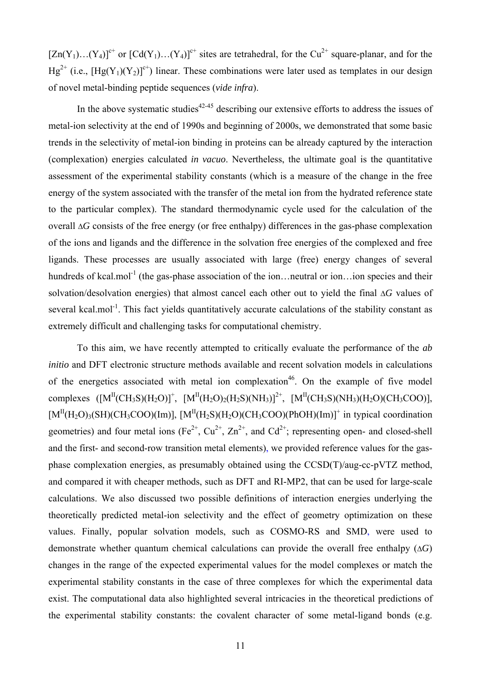$[Zn(Y_1)...(Y_4)]^{c^+}$  or  $[Cd(Y_1)...(Y_4)]^{c^+}$  sites are tetrahedral, for the Cu<sup>2+</sup> square-planar, and for the  $Hg^{2+}$  (i.e.,  $[Hg(Y_1)(Y_2)]^{c+}$ ) linear. These combinations were later used as templates in our design of novel metal-binding peptide sequences (*vide infra*).

In the above systematic studies $42-45$  $42-45$  describing our extensive efforts to address the issues of metal-ion selectivity at the end of 1990s and beginning of 2000s, we demonstrated that some basic trends in the selectivity of metal-ion binding in proteins can be already captured by the interaction (complexation) energies calculated *in vacuo*. Nevertheless, the ultimate goal is the quantitative assessment of the experimental stability constants (which is a measure of the change in the free energy of the system associated with the transfer of the metal ion from the hydrated reference state to the particular complex). The standard thermodynamic cycle used for the calculation of the overall  $\Delta G$  consists of the free energy (or free enthalpy) differences in the gas-phase complexation of the ions and ligands and the difference in the solvation free energies of the complexed and free ligands. These processes are usually associated with large (free) energy changes of several hundreds of kcal.mol<sup>-1</sup> (the gas-phase association of the ion... neutral or ion... ion species and their solvation/desolvation energies) that almost cancel each other out to yield the final  $\Delta G$  values of several kcal.mol<sup>-1</sup>. This fact yields quantitatively accurate calculations of the stability constant as extremely difficult and challenging tasks for computational chemistry.

To this aim, we have recently attempted to critically evaluate the performance of the *ab initio* and DFT electronic structure methods available and recent solvation models in calculations of the energetics associated with metal ion complexation<sup>46</sup>. On the example of five model complexes  $([M^II(CH_3S)(H_2O)]^+$ ,  $[M^II(H_2O)_2(H_2S)(NH_3)]^{2^+}$ ,  $[M^II(CH_3S)(NH_3)(H_2O)(CH_3COO)]$ ,  $[M<sup>II</sup>(H<sub>2</sub>O)<sub>3</sub>(SH)(CH<sub>3</sub>COO)(Im)], [M<sup>II</sup>(H<sub>2</sub>S)(H<sub>2</sub>O)(CH<sub>3</sub>COO)(PhOH)(Im)]<sup>+</sup> in typical coordination$ geometries) and four metal ions (Fe<sup>2+</sup>, Cu<sup>2+</sup>, Zn<sup>2+</sup>, and Cd<sup>2+</sup>; representing open- and closed-shell and the first- and second-row transition metal elements), we provided reference values for the gasphase complexation energies, as presumably obtained using the CCSD(T)/aug-cc-pVTZ method, and compared it with cheaper methods, such as DFT and RI-MP2, that can be used for large-scale calculations. We also discussed two possible definitions of interaction energies underlying the theoretically predicted metal-ion selectivity and the effect of geometry optimization on these values. Finally, popular solvation models, such as COSMO-RS and SMD, were used to demonstrate whether quantum chemical calculations can provide the overall free enthalpy  $(\Delta G)$ changes in the range of the expected experimental values for the model complexes or match the experimental stability constants in the case of three complexes for which the experimental data exist. The computational data also highlighted several intricacies in the theoretical predictions of the experimental stability constants: the covalent character of some metal-ligand bonds (e.g.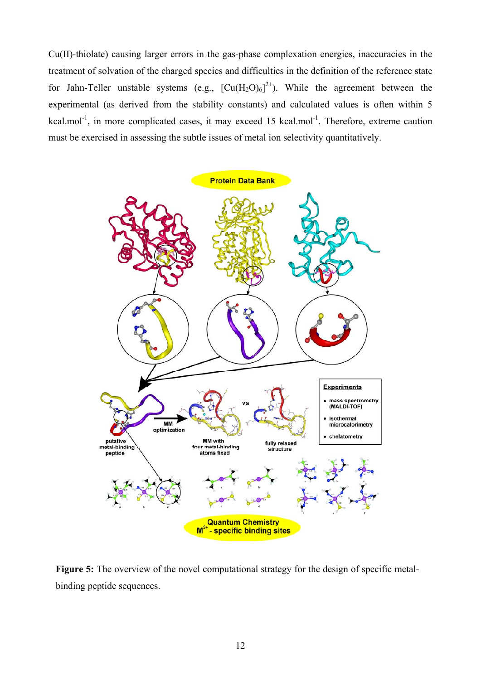Cu(II)-thiolate) causing larger errors in the gas-phase complexation energies, inaccuracies in the treatment of solvation of the charged species and difficulties in the definition of the reference state for Jahn-Teller unstable systems (e.g.,  $\left[\text{Cu}(H_2O)_6\right]^{2+}$ ). While the agreement between the experimental (as derived from the stability constants) and calculated values is often within 5 kcal.mol<sup>-1</sup>, in more complicated cases, it may exceed 15 kcal.mol<sup>-1</sup>. Therefore, extreme caution must be exercised in assessing the subtle issues of metal ion selectivity quantitatively.



Figure 5: The overview of the novel computational strategy for the design of specific metalbinding peptide sequences.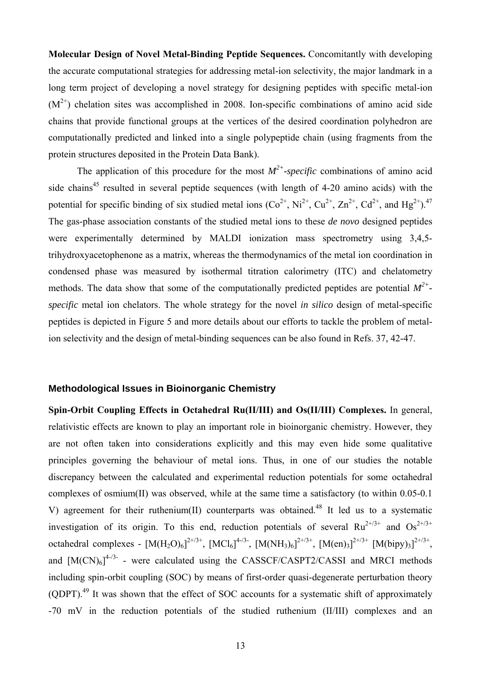**Molecular Design of Novel Metal-Binding Peptide Sequences.** Concomitantly with developing the accurate computational strategies for addressing metal-ion selectivity, the major landmark in a long term project of developing a novel strategy for designing peptides with specific metal-ion  $(M^{2+})$  chelation sites was accomplished in 2008. Ion-specific combinations of amino acid side chains that provide functional groups at the vertices of the desired coordination polyhedron are computationally predicted and linked into a single polypeptide chain (using fragments from the protein structures deposited in the Protein Data Bank).

<span id="page-12-0"></span>The application of this procedure for the most  $M^{2+}$ -specific combinations of amino acid side chains<sup>45</sup> resulted in several peptide sequences (with length of 4-20 amino acids) with the potential for specific binding of six studied metal ions  $(Co^{2+}, Ni^{2+}, Cu^{2+}, Zn^{2+}, Cd^{2+}, and Hg^{2+})$ .<sup>47</sup> The gas-phase association constants of the studied metal ions to these *de novo* designed peptides were experimentally determined by MALDI ionization mass spectrometry using 3,4,5 trihydroxyacetophenone as a matrix, whereas the thermodynamics of the metal ion coordination in condensed phase was measured by isothermal titration calorimetry (ITC) and chelatometry methods. The data show that some of the computationally predicted peptides are potential *M2+ specific* metal ion chelators. The whole strategy for the novel *in silico* design of metal-specific peptides is depicted in Figure 5 and more details about our efforts to tackle the problem of metalion selectivity and the design of metal-binding sequences can be also found in Refs. [37,](#page-9-0) [42-](#page-9-1)[47.](#page-12-0)

#### **Methodological Issues in Bioinorganic Chemistry**

<span id="page-12-1"></span>**Spin-Orbit Coupling Effects in Octahedral Ru(II/III) and Os(II/III) Complexes.** In general, relativistic effects are known to play an important role in bioinorganic chemistry. However, they are not often taken into considerations explicitly and this may even hide some qualitative principles governing the behaviour of metal ions. Thus, in one of our studies the notable discrepancy between the calculated and experimental reduction potentials for some octahedral complexes of osmium(II) was observed, while at the same time a satisfactory (to within 0.05-0.1 V) agreement for their ruthenium(II) counterparts was obtained.<sup>48</sup> It led us to a systematic investigation of its origin. To this end, reduction potentials of several  $Ru^{2+/3+}$  and  $Os^{2+/3+}$ octahedral complexes -  $[M(H_2O)_6]^{2^{+/3+}}$ ,  $[MCl_6]^{4^{+/3-}}$ ,  $[M(NH_3)_6]^{2^{+/3+}}$ ,  $[M(en)_3]^{2^{+/3+}}$   $[M(bipy)_3]^{2^{+/3+}}$ , and  $[M(CN)_6]^{4/3}$  - were calculated using the CASSCF/CASPT2/CASSI and MRCI methods including spin-orbit coupling (SOC) by means of first-order quasi-degenerate perturbation theory (QDPT).49 It was shown that the effect of SOC accounts for a systematic shift of approximately -70 mV in the reduction potentials of the studied ruthenium (II/III) complexes and an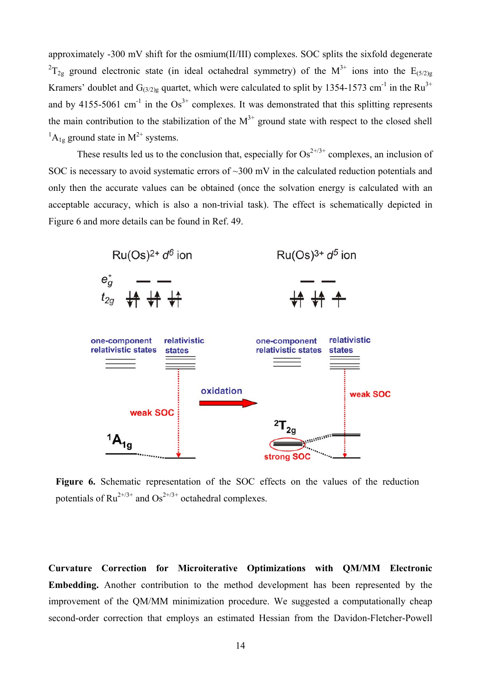approximately -300 mV shift for the osmium(II/III) complexes. SOC splits the sixfold degenerate  ${}^{2}T_{2g}$  ground electronic state (in ideal octahedral symmetry) of the M<sup>3+</sup> ions into the E<sub>(5/2)g</sub> Kramers' doublet and  $G_{(3/2)g}$  quartet, which were calculated to split by 1354-1573 cm<sup>-1</sup> in the Ru<sup>3+</sup> and by 4155-5061 cm<sup>-1</sup> in the  $Os^{3+}$  complexes. It was demonstrated that this splitting represents the main contribution to the stabilization of the  $M^{3+}$  ground state with respect to the closed shell  ${}^{1}A_{1g}$  ground state in M<sup>2+</sup> systems.

These results led us to the conclusion that, especially for  $Os^{2+/3+}$  complexes, an inclusion of SOC is necessary to avoid systematic errors of  $\sim$ 300 mV in the calculated reduction potentials and only then the accurate values can be obtained (once the solvation energy is calculated with an acceptable accuracy, which is also a non-trivial task). The effect is schematically depicted in Figure 6 and more details can be found in Ref. [49](#page-12-1).



**Figure 6.** Schematic representation of the SOC effects on the values of the reduction potentials of  $Ru^{2+/3+}$  and  $Os^{2+/3+}$  octahedral complexes.

**Curvature Correction for Microiterative Optimizations with QM/MM Electronic Embedding.** Another contribution to the method development has been represented by the improvement of the QM/MM minimization procedure. We suggested a computationally cheap second-order correction that employs an estimated Hessian from the Davidon-Fletcher-Powell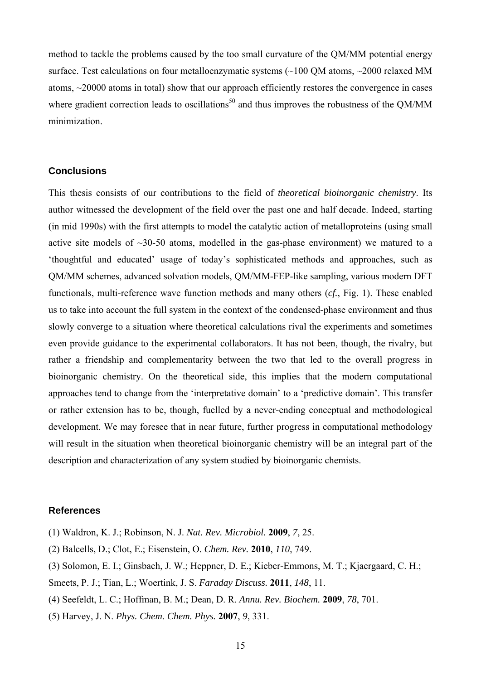method to tackle the problems caused by the too small curvature of the QM/MM potential energy surface. Test calculations on four metalloenzymatic systems (~100 QM atoms, ~2000 relaxed MM atoms, ~20000 atoms in total) show that our approach efficiently restores the convergence in cases where gradient correction leads to oscillations<sup>50</sup> and thus improves the robustness of the QM/MM minimization.

#### **Conclusions**

This thesis consists of our contributions to the field of *theoretical bioinorganic chemistry*. Its author witnessed the development of the field over the past one and half decade. Indeed, starting (in mid 1990s) with the first attempts to model the catalytic action of metalloproteins (using small active site models of  $\sim$ 30-50 atoms, modelled in the gas-phase environment) we matured to a 'thoughtful and educated' usage of today's sophisticated methods and approaches, such as QM/MM schemes, advanced solvation models, QM/MM-FEP-like sampling, various modern DFT functionals, multi-reference wave function methods and many others (*cf.*, Fig. 1). These enabled us to take into account the full system in the context of the condensed-phase environment and thus slowly converge to a situation where theoretical calculations rival the experiments and sometimes even provide guidance to the experimental collaborators. It has not been, though, the rivalry, but rather a friendship and complementarity between the two that led to the overall progress in bioinorganic chemistry. On the theoretical side, this implies that the modern computational approaches tend to change from the 'interpretative domain' to a 'predictive domain'. This transfer or rather extension has to be, though, fuelled by a never-ending conceptual and methodological development. We may foresee that in near future, further progress in computational methodology will result in the situation when theoretical bioinorganic chemistry will be an integral part of the description and characterization of any system studied by bioinorganic chemists.

#### **References**

- <span id="page-14-0"></span>(1) Waldron, K. J.; Robinson, N. J. *Nat. Rev. Microbiol.* **2009**, *7*, 25.
- (2) Balcells, D.; Clot, E.; Eisenstein, O. *Chem. Rev.* **2010**, *110*, 749.
- (3) Solomon, E. I.; Ginsbach, J. W.; Heppner, D. E.; Kieber-Emmons, M. T.; Kjaergaard, C. H.;
- Smeets, P. J.; Tian, L.; Woertink, J. S. *Faraday Discuss.* **2011**, *148*, 11.
- (4) Seefeldt, L. C.; Hoffman, B. M.; Dean, D. R. *Annu. Rev. Biochem.* **2009**, *78*, 701.
- (5) Harvey, J. N. *Phys. Chem. Chem. Phys.* **2007**, *9*, 331.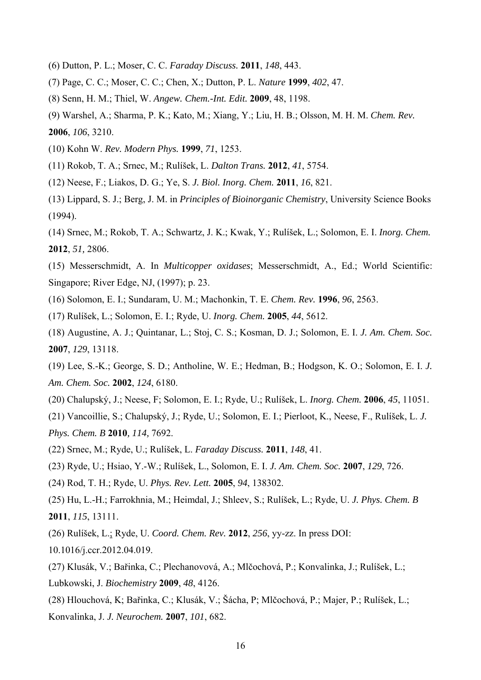- (6) Dutton, P. L.; Moser, C. C. *Faraday Discuss.* **2011**, *148*, 443.
- (7) Page, C. C.; Moser, C. C.; Chen, X.; Dutton, P. L. *Nature* **1999**, *402*, 47.
- (8) Senn, H. M.; Thiel, W. *Angew. Chem.-Int. Edit.* **2009**, 48, 1198.
- (9) Warshel, A.; Sharma, P. K.; Kato, M.; Xiang, Y.; Liu, H. B.; Olsson, M. H. M. *Chem. Rev.*

- (10) Kohn W. *Rev. Modern Phys.* **1999**, *71*, 1253.
- (11) Rokob, T. A.; Srnec, M.; Rulíšek, L. *Dalton Trans.* **2012**, *41*, 5754.
- (12) Neese, F.; Liakos, D. G.; Ye, S. *J. Biol. Inorg. Chem.* **2011**, *16*, 821.
- (13) Lippard, S. J.; Berg, J. M. in *Principles of Bioinorganic Chemistry*, University Science Books (1994).
- (14) Srnec, M.; Rokob, T. A.; Schwartz, J. K.; Kwak, Y.; Rulíšek, L.; Solomon, E. I. *Inorg. Chem.* **2012**, *51,* 2806.
- (15) Messerschmidt, A. In *Multicopper oxidases*; Messerschmidt, A., Ed.; World Scientific: Singapore; River Edge, NJ, (1997); p. 23.
- (16) Solomon, E. I.; Sundaram, U. M.; Machonkin, T. E. *Chem. Rev.* **1996**, *96*, 2563.
- (17) Rulíšek, L.; Solomon, E. I.; Ryde, U. *Inorg. Chem.* **2005**, *44*, 5612.
- (18) Augustine, A. J.; Quintanar, L.; Stoj, C. S.; Kosman, D. J.; Solomon, E. I. *J. Am. Chem. Soc.* **2007**, *129*, 13118.
- (19) Lee, S.-K.; George, S. D.; Antholine, W. E.; Hedman, B.; Hodgson, K. O.; Solomon, E. I. *J. Am. Chem. Soc.* **2002**, *124*, 6180.
- (20) Chalupský, J.; Neese, F; Solomon, E. I.; Ryde, U.; Rulíšek, L. *Inorg. Chem.* **2006**, *45*, 11051.
- (21) Vancoillie, S.; Chalupský, J.; Ryde, U.; Solomon, E. I.; Pierloot, K., Neese, F., Rulíšek, L. *J. Phys. Chem. B* **2010***, 114,* 7692.
- (22) Srnec, M.; Ryde, U.; Rulíšek, L. *Faraday Discuss.* **2011**, *148*, 41.
- (23) Ryde, U.; Hsiao, Y.-W.; Rulíšek, L., Solomon, E. I. *J. Am. Chem. Soc.* **2007**, *129*, 726.
- (24) Rod, T. H.; Ryde, U. *Phys. Rev. Lett.* **2005**, *94*, 138302.
- (25) Hu, L.-H.; Farrokhnia, M.; Heimdal, J.; Shleev, S.; Rulíšek, L.; Ryde, U. *J. Phys. Chem. B*  **2011**, *115*, 13111.
- (26) Rulíšek, L.; Ryde, U. *Coord. Chem. Rev.* **2012**, *256*, yy-zz. In press DOI:
- 10.1016/j.ccr.2012.04.019.
- (27) Klusák, V.; Bařinka, C.; Plechanovová, A.; Mlčochová, P.; Konvalinka, J.; Rulíšek, L.; Lubkowski, J. *Biochemistry* **2009**, *48*, 4126.
- (28) Hlouchová, K; Bařinka, C.; Klusák, V.; Šácha, P; Mlčochová, P.; Majer, P.; Rulíšek, L.; Konvalinka, J. *J. Neurochem.* **2007**, *101*, 682.

**<sup>2006</sup>**, *106*, 3210.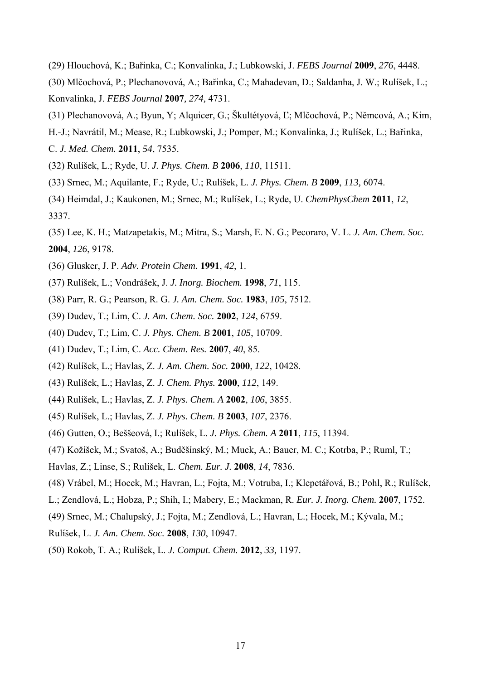- (29) Hlouchová, K.; Bařinka, C.; Konvalinka, J.; Lubkowski, J. *FEBS Journal* **2009**, *276*, 4448.
- (30) Mlčochová, P.; Plechanovová, A.; Bařinka, C.; Mahadevan, D.; Saldanha, J. W.; Rulíšek, L.; Konvalinka, J. *FEBS Journal* **2007***, 274,* 4731.
- (31) Plechanovová, A.; Byun, Y; Alquicer, G.; Škultétyová, Ľ; Mlčochová, P.; Němcová, A.; Kim,
- H.-J.; Navrátil, M.; Mease, R.; Lubkowski, J.; Pomper, M.; Konvalinka, J.; Rulíšek, L.; Bařinka,
- C. *J. Med. Chem.* **2011**, *54*, 7535.
- (32) Rulíšek, L.; Ryde, U. *J. Phys. Chem. B* **2006**, *110*, 11511.
- (33) Srnec, M.; Aquilante, F.; Ryde, U.; Rulíšek, L. *J. Phys. Chem. B* **2009**, *113,* 6074.
- (34) Heimdal, J.; Kaukonen, M.; Srnec, M.; Rulíšek, L.; Ryde, U. *ChemPhysChem* **2011**, *12*, 3337.
- (35) Lee, K. H.; Matzapetakis, M.; Mitra, S.; Marsh, E. N. G.; Pecoraro, V. L. *J. Am. Chem. Soc.* **2004**, *126*, 9178.
- (36) Glusker, J. P. *Adv. Protein Chem.* **1991**, *42*, 1.
- (37) Rulíšek, L.; Vondrášek, J. *J. Inorg. Biochem.* **1998**, *71*, 115.
- (38) Parr, R. G.; Pearson, R. G. *J. Am. Chem. Soc.* **1983**, *105*, 7512.
- (39) Dudev, T.; Lim, C. *J. Am. Chem. Soc.* **2002**, *124*, 6759.
- (40) Dudev, T.; Lim, C. *J. Phys. Chem. B* **2001**, *105*, 10709.
- (41) Dudev, T.; Lim, C. *Acc. Chem. Res.* **2007**, *40*, 85.
- (42) Rulíšek, L.; Havlas, Z. *J. Am. Chem. Soc.* **2000**, *122*, 10428.
- (43) Rulíšek, L.; Havlas, Z. *J. Chem. Phys.* **2000**, *112*, 149.
- (44) Rulíšek, L.; Havlas, Z. *J. Phys. Chem. A* **2002**, *106*, 3855.
- (45) Rulíšek, L.; Havlas, Z. *J. Phys. Chem. B* **2003**, *107*, 2376.
- (46) Gutten, O.; Beššeová, I.; Rulíšek, L. *J. Phys. Chem. A* **2011**, *115*, 11394.
- (47) Kožíšek, M.; Svatoš, A.; Buděšínský, M.; Muck, A.; Bauer, M. C.; Kotrba, P.; Ruml, T.;
- Havlas, Z.; Linse, S.; Rulíšek, L. *Chem. Eur. J.* **2008**, *14*, 7836.
- (48) Vrábel, M.; Hocek, M.; Havran, L.; Fojta, M.; Votruba, I.; Klepetářová, B.; Pohl, R.; Rulíšek,
- L.; Zendlová, L.; Hobza, P.; Shih, I.; Mabery, E.; Mackman, R. *Eur. J. Inorg. Chem.* **2007**, 1752.
- (49) Srnec, M.; Chalupský, J.; Fojta, M.; Zendlová, L.; Havran, L.; Hocek, M.; Kývala, M.;
- Rulíšek, L. *J. Am. Chem. Soc.* **2008**, *130*, 10947.
- (50) Rokob, T. A.; Rulíšek, L. *J. Comput. Chem.* **2012**, *33,* 1197.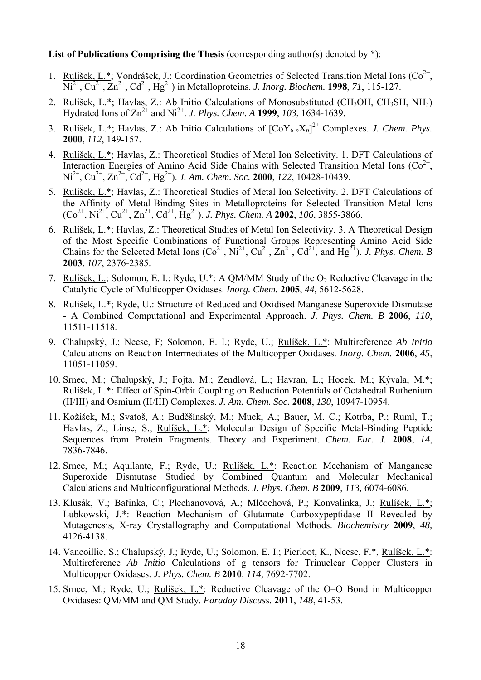#### List of Publications Comprising the Thesis (corresponding author(s) denoted by  $*$ ):

- 1. Rulíšek, L.\*; Vondrášek, J.: Coordination Geometries of Selected Transition Metal Ions ( $Co^{2+}$ ,  $\overline{Ni^{2+}, Cu^{2+}, Zn^{2+}, Cd^{2+}, Hg^{2+}}$  in Metalloproteins. *J. Inorg. Biochem.* **1998**, 71, 115-127.
- 2. Rulíšek, L.\*; Havlas, Z.: Ab Initio Calculations of Monosubstituted (CH3OH, CH3SH, NH3)  $\overline{Hydrated}$  Ions of  $\overline{Zn}^{2+}$  and  $\overline{Ni}^{2+}$ . *J. Phys. Chem. A* **1999**, 103, 1634-1639.
- 3. Rulíšek, L.\*; Havlas, Z.: Ab Initio Calculations of [CoY6-*n*X*n*] 2+ Complexes. *J. Chem. Phys.* **2000**, *112*, 149-157.
- 4. Rulíšek, L.\*; Havlas, Z.: Theoretical Studies of Metal Ion Selectivity. 1. DFT Calculations of Interaction Energies of Amino Acid Side Chains with Selected Transition Metal Ions  $(Co^{2+})$ , Ni<sup>2+</sup>, Cu<sup>2+</sup>, Zn<sup>2+</sup>, Cd<sup>2+</sup>, Hg<sup>2+</sup>). *J. Am. Chem. Soc.* **2000**, *122*, 10428-10439.
- 5. Rulíšek, L.\*; Havlas, Z.: Theoretical Studies of Metal Ion Selectivity. 2. DFT Calculations of the Affinity of Metal-Binding Sites in Metalloproteins for Selected Transition Metal Ions  $(Co^{2+}, Ni^{2+}, Cu^{2+}, Zn^{2+}, Cd^{2+}, Hg^{2+})$ . *J. Phys. Chem. A* **2002**, *106*, 3855-3866.
- 6. Rulíšek, L.\*; Havlas, Z.: Theoretical Studies of Metal Ion Selectivity. 3. A Theoretical Design of the Most Specific Combinations of Functional Groups Representing Amino Acid Side Chains for the Selected Metal Ions  $(Co^{2+}, Ni^{2+}, Cu^{2+}, Zn^{2+}, Cd^{2+}, and Hg^{2+})$ . *J. Phys. Chem. B* **2003**, *107*, 2376-2385.
- 7. Rulíšek, L.; Solomon, E. I.; Ryde, U.\*: A OM/MM Study of the O<sub>2</sub> Reductive Cleavage in the Catalytic Cycle of Multicopper Oxidases. *Inorg. Chem.* **2005**, *44*, 5612-5628.
- 8. Rulíšek, L.\*; Ryde, U.: Structure of Reduced and Oxidised Manganese Superoxide Dismutase - A Combined Computational and Experimental Approach. *J. Phys. Chem. B* **2006**, *110*, 11511-11518.
- 9. Chalupský, J.; Neese, F; Solomon, E. I.; Ryde, U.; Rulíšek, L.\*: Multireference *Ab Initio* Calculations on Reaction Intermediates of the Multicopper Oxidases. *Inorg. Chem.* **2006**, *45*, 11051-11059.
- 10. Srnec, M.; Chalupský, J.; Fojta, M.; Zendlová, L.; Havran, L.; Hocek, M.; Kývala, M.\*; Rulíšek, L.\*: Effect of Spin-Orbit Coupling on Reduction Potentials of Octahedral Ruthenium (II/III) and Osmium (II/III) Complexes. *J. Am. Chem. Soc.* **2008**, *130*, 10947-10954.
- 11. Kožíšek, M.; Svatoš, A.; Buděšínský, M.; Muck, A.; Bauer, M. C.; Kotrba, P.; Ruml, T.; Havlas, Z.; Linse, S.; Rulíšek, L.\*: Molecular Design of Specific Metal-Binding Peptide Sequences from Protein Fragments. Theory and Experiment. *Chem. Eur. J.* **2008**, *14*, 7836-7846.
- 12. Srnec, M.; Aquilante, F.; Ryde, U.; Rulíšek, L.\*: Reaction Mechanism of Manganese Superoxide Dismutase Studied by Combined Quantum and Molecular Mechanical Calculations and Multiconfigurational Methods. *J. Phys. Chem. B* **2009**, *113,* 6074-6086.
- 13. Klusák, V.; Bařinka, C.; Plechanovová, A.; Mlčochová, P.; Konvalinka, J.; Rulíšek, L.\*; Lubkowski, J.\*: Reaction Mechanism of Glutamate Carboxypeptidase II Revealed by Mutagenesis, X-ray Crystallography and Computational Methods. *Biochemistry* **2009**, *48*, 4126-4138.
- 14. Vancoillie, S.; Chalupský, J.; Ryde, U.; Solomon, E. I.; Pierloot, K., Neese, F.\*, Rulíšek, L.\*: Multireference *Ab Initio* Calculations of g tensors for Trinuclear Copper Clusters in Multicopper Oxidases. *J. Phys. Chem. B* **2010***, 114,* 7692-7702.
- 15. Srnec, M.; Ryde, U.; Rulíšek, L.\*: Reductive Cleavage of the O–O Bond in Multicopper Oxidases: QM/MM and QM Study. *Faraday Discuss.* **2011**, *148*, 41-53.